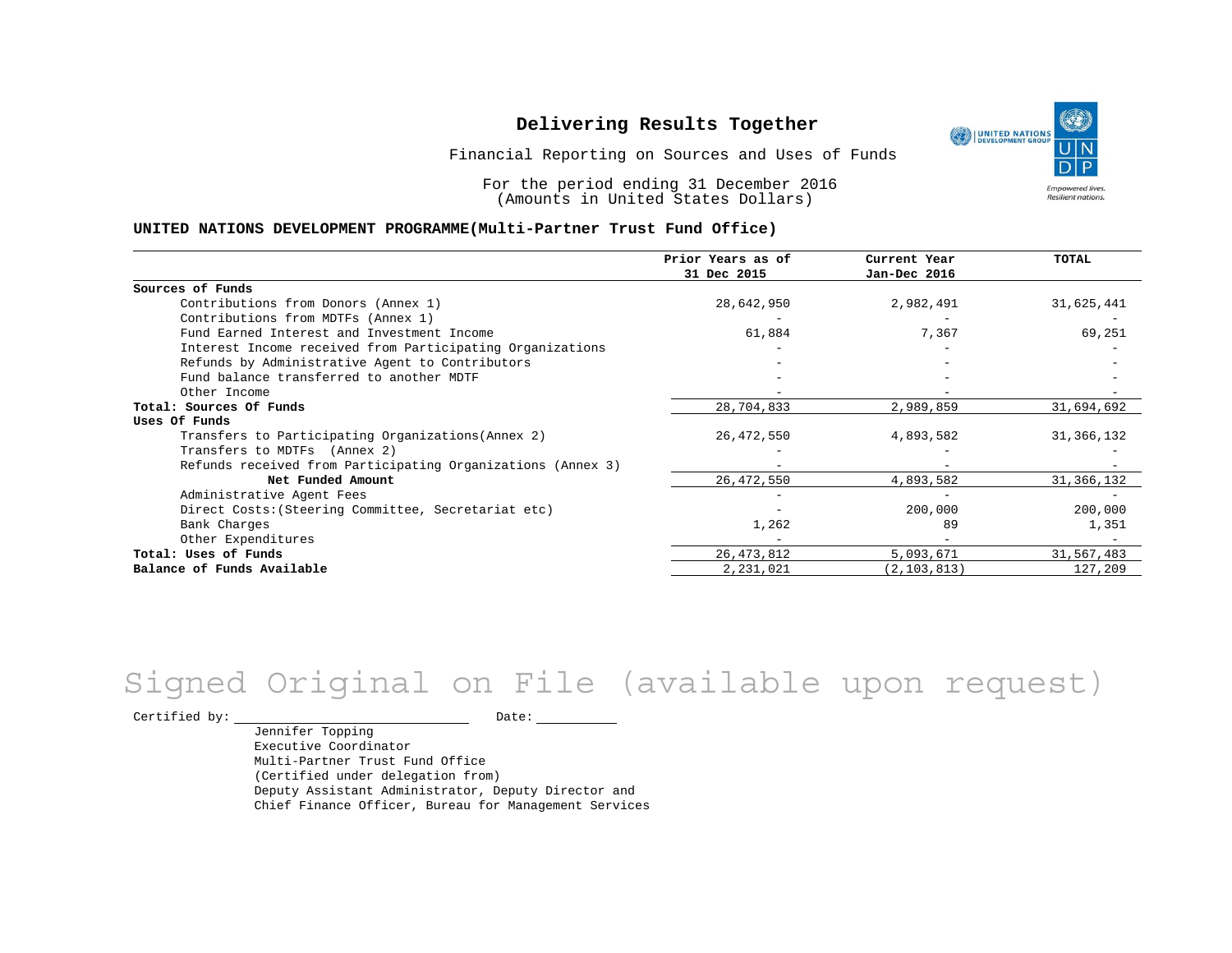UNITED NATIONS **Empowered lives** Resilient nations.

Financial Reporting on Sources and Uses of Funds

For the period ending 31 December 2016 (Amounts in United States Dollars)

#### **UNITED NATIONS DEVELOPMENT PROGRAMME(Multi-Partner Trust Fund Office)**

|                                                             | Prior Years as of | Current Year  | TOTAL        |
|-------------------------------------------------------------|-------------------|---------------|--------------|
|                                                             | 31 Dec 2015       | Jan-Dec 2016  |              |
| Sources of Funds                                            |                   |               |              |
| Contributions from Donors (Annex 1)                         | 28,642,950        | 2,982,491     | 31,625,441   |
| Contributions from MDTFs (Annex 1)                          |                   |               |              |
| Fund Earned Interest and Investment Income                  | 61,884            | 7,367         | 69,251       |
| Interest Income received from Participating Organizations   |                   |               |              |
| Refunds by Administrative Agent to Contributors             |                   |               |              |
| Fund balance transferred to another MDTF                    |                   |               |              |
| Other Income                                                |                   |               |              |
| Total: Sources Of Funds                                     | 28,704,833        | 2,989,859     | 31,694,692   |
| Uses Of Funds                                               |                   |               |              |
| Transfers to Participating Organizations (Annex 2)          | 26,472,550        | 4,893,582     | 31, 366, 132 |
| Transfers to MDTFs (Annex 2)                                |                   |               |              |
| Refunds received from Participating Organizations (Annex 3) |                   |               |              |
| Net Funded Amount                                           | 26, 472, 550      | 4,893,582     | 31, 366, 132 |
| Administrative Agent Fees                                   |                   |               |              |
| Direct Costs: (Steering Committee, Secretariat etc)         |                   | 200,000       | 200,000      |
| Bank Charges                                                | 1,262             | 89            | 1,351        |
| Other Expenditures                                          |                   |               |              |
| Total: Uses of Funds                                        | 26, 473, 812      | 5,093,671     | 31,567,483   |
| Balance of Funds Available                                  | 2,231,021         | (2, 103, 813) | 127,209      |

# Signed Original on File (available upon request)

 $\begin{tabular}{c} \multicolumn{2}{c}{{\texttt{Certified by:}}}} \thicklines \end{tabular} \vspace{-.5cm} \begin{tabular}{l} \multicolumn{2}{c}{} {\color{blue}Date:} \thicklines \end{tabular} \end{tabular} \vspace{-.5cm} \begin{tabular}{l} \multicolumn{2}{c}{} {\color{blue}Date:} \thicklines \end{tabular} \end{tabular} \vspace{-.5cm} \begin{tabular}{l} \multicolumn{2}{c}{} {\color{blue}Date:} \thicklines \end{tabular} \end{tabular} \vspace{-.5cm} \begin{tabular}{l} \multicolumn{2}{c}{} {\color{$ 

Jennifer Topping Executive Coordinator Multi-Partner Trust Fund Office (Certified under delegation from) Deputy Assistant Administrator, Deputy Director and Chief Finance Officer, Bureau for Management Services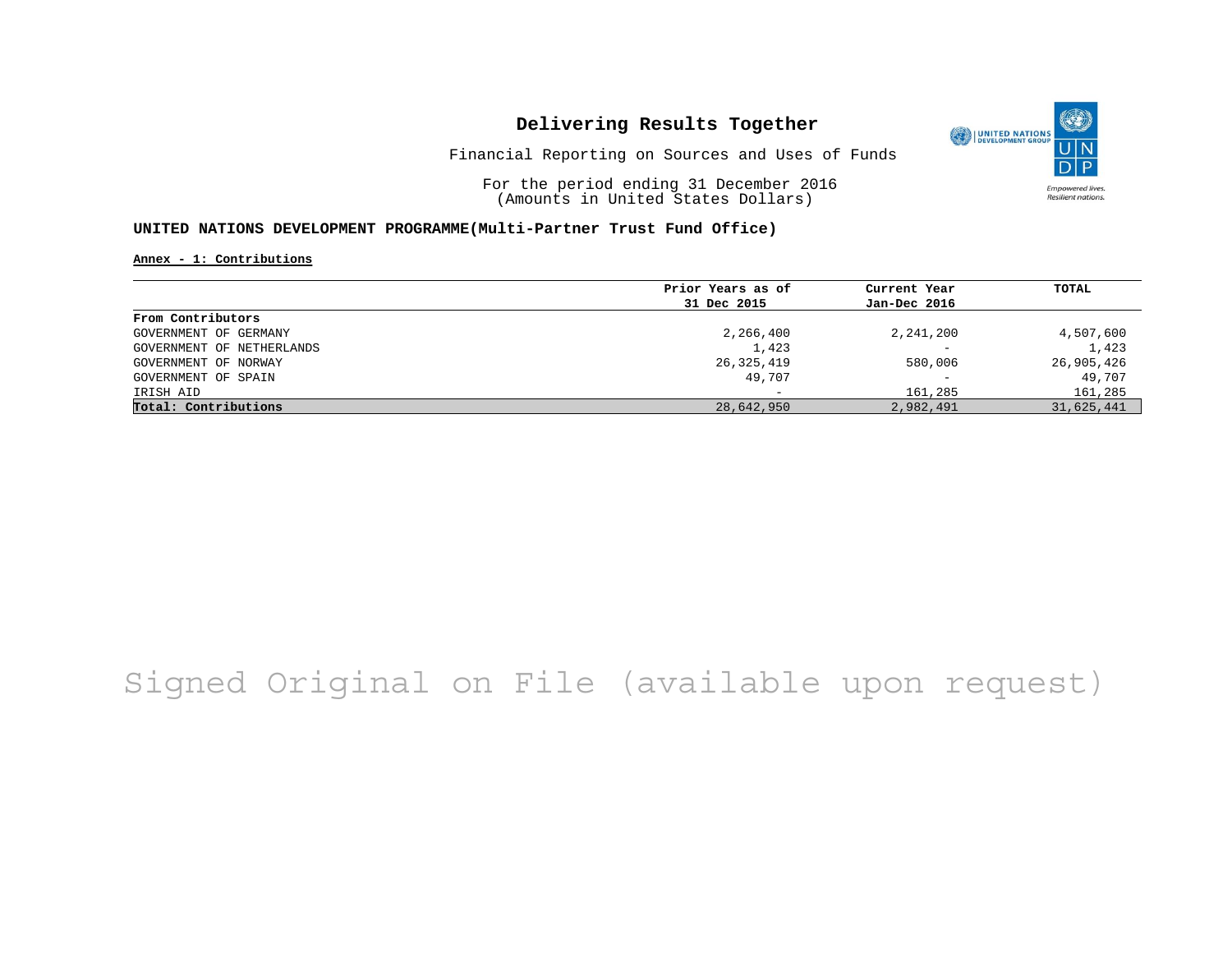

Financial Reporting on Sources and Uses of Funds

For the period ending 31 December 2016 (Amounts in United States Dollars)

### **UNITED NATIONS DEVELOPMENT PROGRAMME(Multi-Partner Trust Fund Office)**

**Annex - 1: Contributions**

|                           | Prior Years as of | Current Year             | TOTAL      |
|---------------------------|-------------------|--------------------------|------------|
|                           | 31 Dec 2015       | Jan-Dec 2016             |            |
| From Contributors         |                   |                          |            |
| GOVERNMENT OF GERMANY     | 2,266,400         | 2,241,200                | 4,507,600  |
| GOVERNMENT OF NETHERLANDS | 1,423             | $\overline{\phantom{0}}$ | 1,423      |
| GOVERNMENT OF NORWAY      | 26,325,419        | 580,006                  | 26,905,426 |
| GOVERNMENT OF SPAIN       | 49,707            | $\overline{\phantom{0}}$ | 49,707     |
| IRISH AID                 |                   | 161,285                  | 161,285    |
| Total: Contributions      | 28,642,950        | 2,982,491                | 31,625,441 |

# Signed Original on File (available upon request)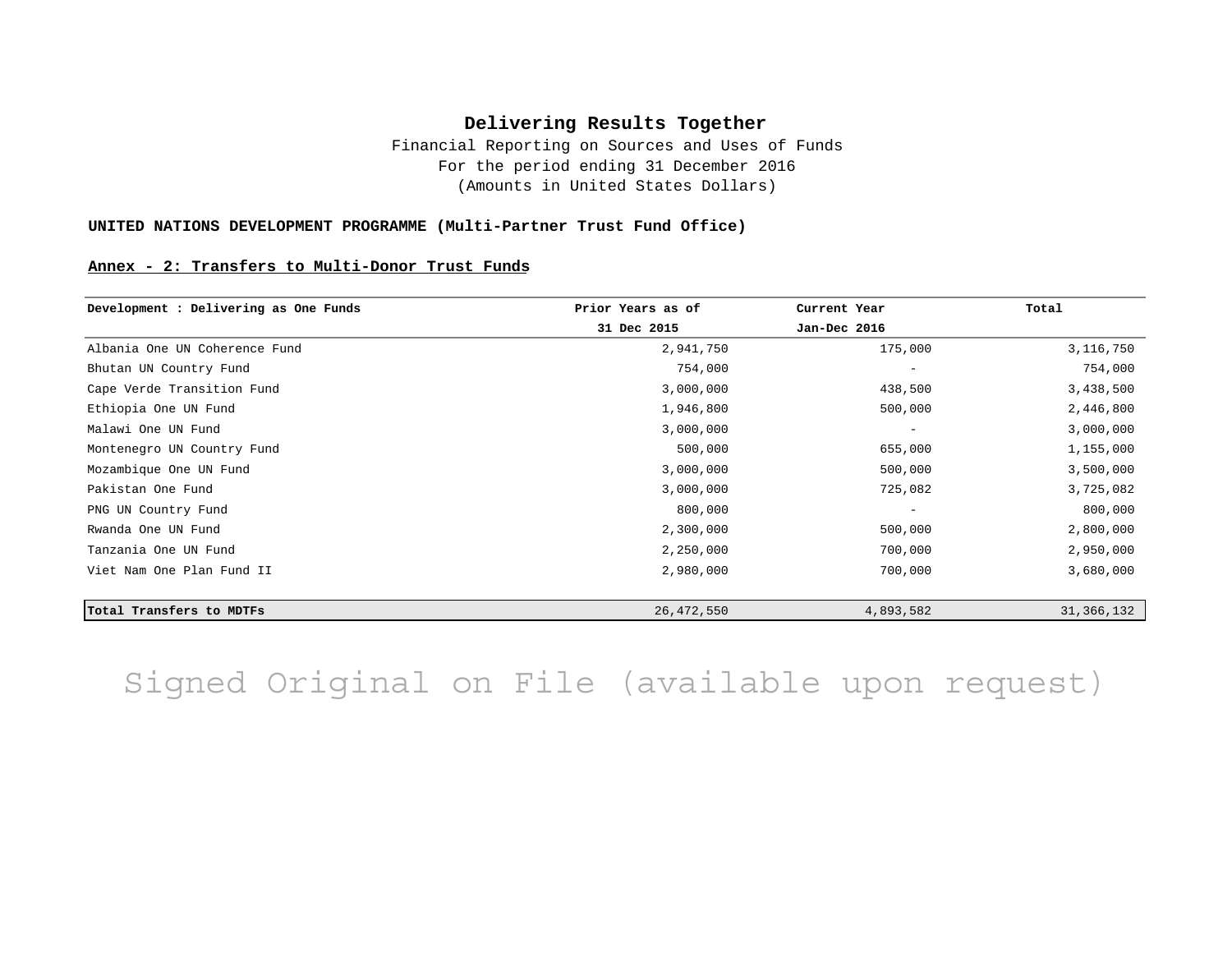Financial Reporting on Sources and Uses of Funds For the period ending 31 December 2016 (Amounts in United States Dollars)

### **UNITED NATIONS DEVELOPMENT PROGRAMME (Multi-Partner Trust Fund Office)**

#### **Annex - 2: Transfers to Multi-Donor Trust Funds**

| Development : Delivering as One Funds | Prior Years as of | Current Year             | Total        |
|---------------------------------------|-------------------|--------------------------|--------------|
|                                       | 31 Dec 2015       | Jan-Dec 2016             |              |
| Albania One UN Coherence Fund         | 2,941,750         | 175,000                  | 3,116,750    |
| Bhutan UN Country Fund                | 754,000           | $\overline{\phantom{m}}$ | 754,000      |
| Cape Verde Transition Fund            | 3,000,000         | 438,500                  | 3,438,500    |
| Ethiopia One UN Fund                  | 1,946,800         | 500,000                  | 2,446,800    |
| Malawi One UN Fund                    | 3,000,000         | $\overline{\phantom{m}}$ | 3,000,000    |
| Montenegro UN Country Fund            | 500,000           | 655,000                  | 1,155,000    |
| Mozambique One UN Fund                | 3,000,000         | 500,000                  | 3,500,000    |
| Pakistan One Fund                     | 3,000,000         | 725,082                  | 3,725,082    |
| PNG UN Country Fund                   | 800,000           | $\overline{\phantom{m}}$ | 800,000      |
| Rwanda One UN Fund                    | 2,300,000         | 500,000                  | 2,800,000    |
| Tanzania One UN Fund                  | 2,250,000         | 700,000                  | 2,950,000    |
| Viet Nam One Plan Fund II             | 2,980,000         | 700,000                  | 3,680,000    |
|                                       |                   |                          |              |
| Total Transfers to MDTFs              | 26,472,550        | 4,893,582                | 31, 366, 132 |

Signed Original on File (available upon request)